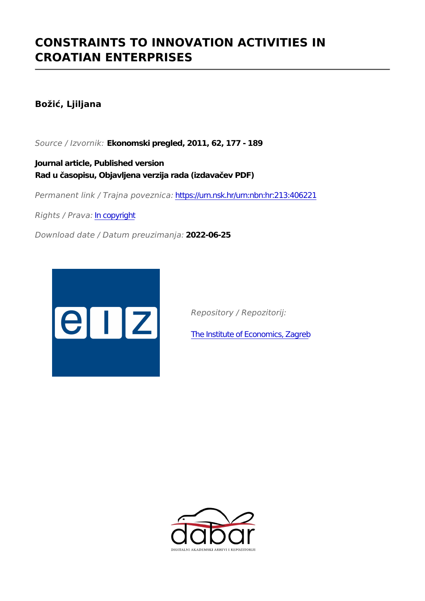# **CONSTRAINTS TO INNOVATION ACTIVITIES IN CROATIAN ENTERPRISES**

# **Božić, Ljiljana**

*Source / Izvornik:* **Ekonomski pregled, 2011, 62, 177 - 189**

**Journal article, Published version Rad u časopisu, Objavljena verzija rada (izdavačev PDF)**

*Permanent link / Trajna poveznica:* <https://urn.nsk.hr/urn:nbn:hr:213:406221>

*Rights / Prava:* [In copyright](http://rightsstatements.org/vocab/InC/1.0/)

*Download date / Datum preuzimanja:* **2022-06-25**



*Repository / Repozitorij:*

[The Institute of Economics, Zagreb](https://repozitorij.eizg.hr)

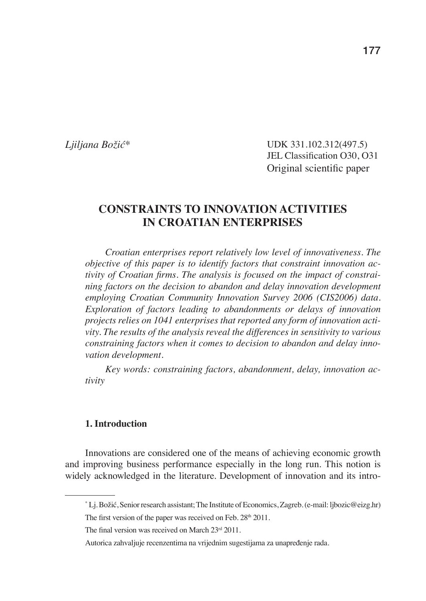*Ljiljana Božić\**

 UDK 331.102.312(497.5) JEL Classification O30, O31 Original scientific paper

# **CONSTRAINTS TO INNOVATION ACTIVITIES IN CROATIAN ENTERPRISES**

*Croatian enterprises report relatively low level of innovativeness. The objective of this paper is to identify factors that constraint innovation activity of Croatian firms. The analysis is focused on the impact of constraining factors on the decision to abandon and delay innovation development employing Croatian Community Innovation Survey 2006 (CIS2006) data. Exploration of factors leading to abandonments or delays of innovation projects relies on 1041 enterprises that reported any form of innovation activity. The results of the analysis reveal the differences in sensitivity to various constraining factors when it comes to decision to abandon and delay innovation development.*

*Key words: constraining factors, abandonment, delay, innovation activity* 

#### **1. Introduction**

Innovations are considered one of the means of achieving economic growth and improving business performance especially in the long run. This notion is widely acknowledged in the literature. Development of innovation and its intro-

<sup>\*</sup> Lj. Božić, Senior research assistant; The Institute of Economics, Zagreb. (e-mail: ljbozic@eizg.hr) The first version of the paper was received on Feb.  $28<sup>th</sup> 2011$ .

The final version was received on March  $23<sup>rd</sup> 2011$ .

Autorica zahvaljuje recenzentima na vrijednim sugestijama za unapređenje rada.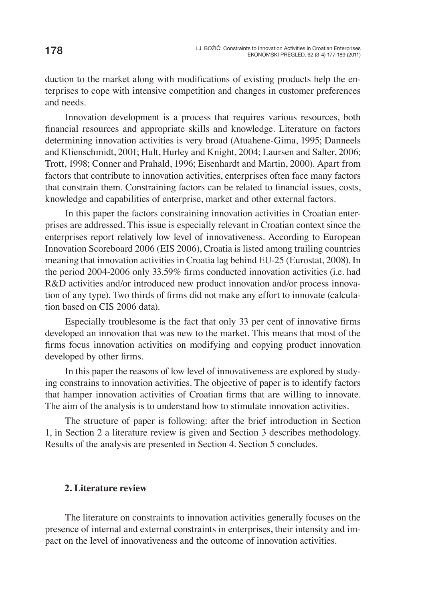duction to the market along with modifications of existing products help the enterprises to cope with intensive competition and changes in customer preferences and needs.

Innovation development is a process that requires various resources, both financial resources and appropriate skills and knowledge. Literature on factors determining innovation activities is very broad (Atuahene-Gima, 1995; Danneels and Klienschmidt, 2001; Hult, Hurley and Knight, 2004; Laursen and Salter, 2006; Trott, 1998; Conner and Prahald, 1996; Eisenhardt and Martin, 2000). Apart from factors that contribute to innovation activities, enterprises often face many factors that constrain them. Constraining factors can be related to financial issues, costs, knowledge and capabilities of enterprise, market and other external factors.

In this paper the factors constraining innovation activities in Croatian enterprises are addressed. This issue is especially relevant in Croatian context since the enterprises report relatively low level of innovativeness. According to European Innovation Scoreboard 2006 (EIS 2006), Croatia is listed among trailing countries meaning that innovation activities in Croatia lag behind EU-25 (Eurostat, 2008). In the period 2004-2006 only 33.59% firms conducted innovation activities (i.e. had R&D activities and/or introduced new product innovation and/or process innovation of any type). Two thirds of firms did not make any effort to innovate (calculation based on CIS 2006 data).

Especially troublesome is the fact that only 33 per cent of innovative firms developed an innovation that was new to the market. This means that most of the firms focus innovation activities on modifying and copying product innovation developed by other firms.

In this paper the reasons of low level of innovativeness are explored by studying constrains to innovation activities. The objective of paper is to identify factors that hamper innovation activities of Croatian firms that are willing to innovate. The aim of the analysis is to understand how to stimulate innovation activities.

The structure of paper is following: after the brief introduction in Section 1, in Section 2 a literature review is given and Section 3 describes methodology. Results of the analysis are presented in Section 4. Section 5 concludes.

#### **2. Literature review**

The literature on constraints to innovation activities generally focuses on the presence of internal and external constraints in enterprises, their intensity and impact on the level of innovativeness and the outcome of innovation activities.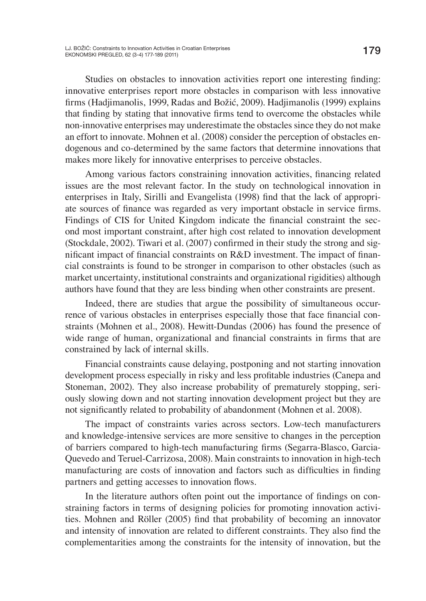Studies on obstacles to innovation activities report one interesting finding: innovative enterprises report more obstacles in comparison with less innovative fi rms (Hadjimanolis, 1999, Radas and Božić, 2009). Hadjimanolis (1999) explains that finding by stating that innovative firms tend to overcome the obstacles while non-innovative enterprises may underestimate the obstacles since they do not make an effort to innovate. Mohnen et al. (2008) consider the perception of obstacles endogenous and co-determined by the same factors that determine innovations that makes more likely for innovative enterprises to perceive obstacles.

Among various factors constraining innovation activities, financing related issues are the most relevant factor. In the study on technological innovation in enterprises in Italy, Sirilli and Evangelista (1998) find that the lack of appropriate sources of finance was regarded as very important obstacle in service firms. Findings of CIS for United Kingdom indicate the financial constraint the second most important constraint, after high cost related to innovation development  $(Stockdale, 2002)$ . Tiwari et al.  $(2007)$  confirmed in their study the strong and significant impact of financial constraints on R&D investment. The impact of financial constraints is found to be stronger in comparison to other obstacles (such as market uncertainty, institutional constraints and organizational rigidities) although authors have found that they are less binding when other constraints are present.

Indeed, there are studies that argue the possibility of simultaneous occurrence of various obstacles in enterprises especially those that face financial constraints (Mohnen et al., 2008). Hewitt-Dundas (2006) has found the presence of wide range of human, organizational and financial constraints in firms that are constrained by lack of internal skills.

Financial constraints cause delaying, postponing and not starting innovation development process especially in risky and less profitable industries (Canepa and Stoneman, 2002). They also increase probability of prematurely stopping, seriously slowing down and not starting innovation development project but they are not significantly related to probability of abandonment (Mohnen et al. 2008).

The impact of constraints varies across sectors. Low-tech manufacturers and knowledge-intensive services are more sensitive to changes in the perception of barriers compared to high-tech manufacturing firms (Segarra-Blasco, Garcia-Quevedo and Teruel-Carrizosa, 2008). Main constraints to innovation in high-tech manufacturing are costs of innovation and factors such as difficulties in finding partners and getting accesses to innovation flows.

In the literature authors often point out the importance of findings on constraining factors in terms of designing policies for promoting innovation activities. Mohnen and Röller (2005) find that probability of becoming an innovator and intensity of innovation are related to different constraints. They also find the complementarities among the constraints for the intensity of innovation, but the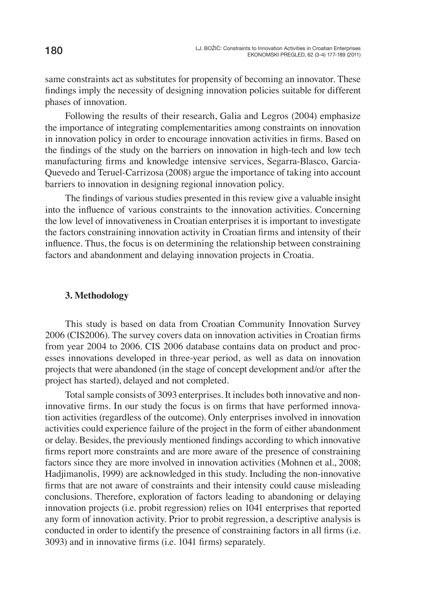same constraints act as substitutes for propensity of becoming an innovator. These findings imply the necessity of designing innovation policies suitable for different phases of innovation.

Following the results of their research, Galia and Legros (2004) emphasize the importance of integrating complementarities among constraints on innovation in innovation policy in order to encourage innovation activities in firms. Based on the findings of the study on the barriers on innovation in high-tech and low tech manufacturing firms and knowledge intensive services, Segarra-Blasco, Garcia-Quevedo and Teruel-Carrizosa (2008) argue the importance of taking into account barriers to innovation in designing regional innovation policy.

The findings of various studies presented in this review give a valuable insight into the influence of various constraints to the innovation activities. Concerning the low level of innovativeness in Croatian enterprises it is important to investigate the factors constraining innovation activity in Croatian firms and intensity of their influence. Thus, the focus is on determining the relationship between constraining factors and abandonment and delaying innovation projects in Croatia.

#### **3. Methodology**

This study is based on data from Croatian Community Innovation Survey 2006 (CIS2006). The survey covers data on innovation activities in Croatian firms from year 2004 to 2006. CIS 2006 database contains data on product and processes innovations developed in three-year period, as well as data on innovation projects that were abandoned (in the stage of concept development and/or after the project has started), delayed and not completed.

Total sample consists of 3093 enterprises. It includes both innovative and noninnovative firms. In our study the focus is on firms that have performed innovation activities (regardless of the outcome). Only enterprises involved in innovation activities could experience failure of the project in the form of either abandonment or delay. Besides, the previously mentioned findings according to which innovative firms report more constraints and are more aware of the presence of constraining factors since they are more involved in innovation activities (Mohnen et al., 2008; Hadjimanolis, 1999) are acknowledged in this study. Including the non-innovative firms that are not aware of constraints and their intensity could cause misleading conclusions. Therefore, exploration of factors leading to abandoning or delaying innovation projects (i.e. probit regression) relies on 1041 enterprises that reported any form of innovation activity. Prior to probit regression, a descriptive analysis is conducted in order to identify the presence of constraining factors in all firms (i.e. 3093) and in innovative firms (i.e. 1041 firms) separately.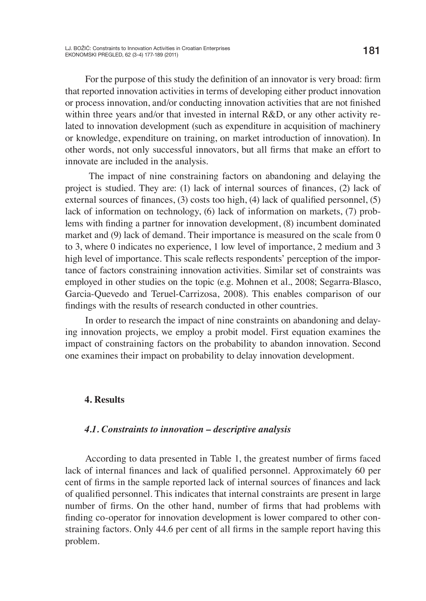For the purpose of this study the definition of an innovator is very broad: firm that reported innovation activities in terms of developing either product innovation or process innovation, and/or conducting innovation activities that are not finished within three years and/or that invested in internal R&D, or any other activity related to innovation development (such as expenditure in acquisition of machinery or knowledge, expenditure on training, on market introduction of innovation). In other words, not only successful innovators, but all firms that make an effort to innovate are included in the analysis.

 The impact of nine constraining factors on abandoning and delaying the project is studied. They are:  $(1)$  lack of internal sources of finances,  $(2)$  lack of external sources of finances,  $(3)$  costs too high,  $(4)$  lack of qualified personnel,  $(5)$ lack of information on technology, (6) lack of information on markets, (7) problems with finding a partner for innovation development,  $(8)$  incumbent dominated market and (9) lack of demand. Their importance is measured on the scale from 0 to 3, where 0 indicates no experience, 1 low level of importance, 2 medium and 3 high level of importance. This scale reflects respondents' perception of the importance of factors constraining innovation activities. Similar set of constraints was employed in other studies on the topic (e.g. Mohnen et al., 2008; Segarra-Blasco, Garcia-Quevedo and Teruel-Carrizosa, 2008). This enables comparison of our findings with the results of research conducted in other countries.

In order to research the impact of nine constraints on abandoning and delaying innovation projects, we employ a probit model. First equation examines the impact of constraining factors on the probability to abandon innovation. Second one examines their impact on probability to delay innovation development.

#### **4. Results**

#### *4.1. Constraints to innovation – descriptive analysis*

According to data presented in Table 1, the greatest number of firms faced lack of internal finances and lack of qualified personnel. Approximately 60 per cent of firms in the sample reported lack of internal sources of finances and lack of qualified personnel. This indicates that internal constraints are present in large number of firms. On the other hand, number of firms that had problems with finding co-operator for innovation development is lower compared to other constraining factors. Only 44.6 per cent of all firms in the sample report having this problem.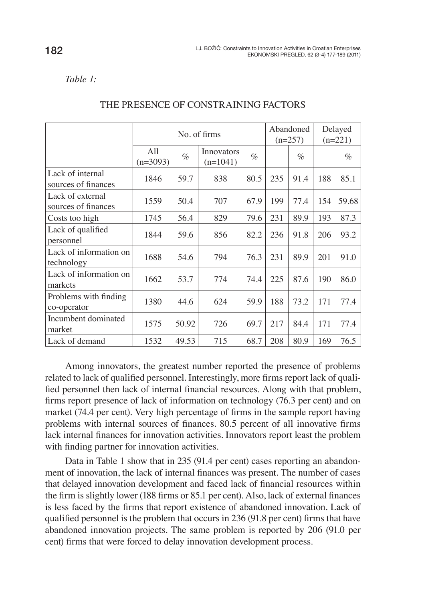*Table 1:*

|                                         | No. of firms      |       |                          | Abandoned<br>$(n=257)$ |     | Delayed<br>$(n=221)$ |     |       |
|-----------------------------------------|-------------------|-------|--------------------------|------------------------|-----|----------------------|-----|-------|
|                                         | All<br>$(n=3093)$ | $\%$  | Innovators<br>$(n=1041)$ | $\%$                   |     | $\%$                 |     | $\%$  |
| Lack of internal<br>sources of finances | 1846              | 59.7  | 838                      | 80.5                   | 235 | 91.4                 | 188 | 85.1  |
| Lack of external<br>sources of finances | 1559              | 50.4  | 707                      | 67.9                   | 199 | 77.4                 | 154 | 59.68 |
| Costs too high                          | 1745              | 56.4  | 829                      | 79.6                   | 231 | 89.9                 | 193 | 87.3  |
| Lack of qualified<br>personnel          | 1844              | 59.6  | 856                      | 82.2                   | 236 | 91.8                 | 206 | 93.2  |
| Lack of information on<br>technology    | 1688              | 54.6  | 794                      | 76.3                   | 231 | 89.9                 | 201 | 91.0  |
| Lack of information on<br>markets       | 1662              | 53.7  | 774                      | 74.4                   | 225 | 87.6                 | 190 | 86.0  |
| Problems with finding<br>co-operator    | 1380              | 44.6  | 624                      | 59.9                   | 188 | 73.2                 | 171 | 77.4  |
| Incumbent dominated<br>market           | 1575              | 50.92 | 726                      | 69.7                   | 217 | 84.4                 | 171 | 77.4  |
| Lack of demand                          | 1532              | 49.53 | 715                      | 68.7                   | 208 | 80.9                 | 169 | 76.5  |

#### THE PRESENCE OF CONSTRAINING FACTORS

Among innovators, the greatest number reported the presence of problems related to lack of qualified personnel. Interestingly, more firms report lack of qualified personnel then lack of internal financial resources. Along with that problem, firms report presence of lack of information on technology (76.3 per cent) and on market (74.4 per cent). Very high percentage of firms in the sample report having problems with internal sources of finances. 80.5 percent of all innovative firms lack internal finances for innovation activities. Innovators report least the problem with finding partner for innovation activities.

Data in Table 1 show that in 235 (91.4 per cent) cases reporting an abandonment of innovation, the lack of internal finances was present. The number of cases that delayed innovation development and faced lack of financial resources within the firm is slightly lower (188 firms or 85.1 per cent). Also, lack of external finances is less faced by the firms that report existence of abandoned innovation. Lack of qualified personnel is the problem that occurs in  $236$  (91.8 per cent) firms that have abandoned innovation projects. The same problem is reported by 206 (91.0 per cent) firms that were forced to delay innovation development process.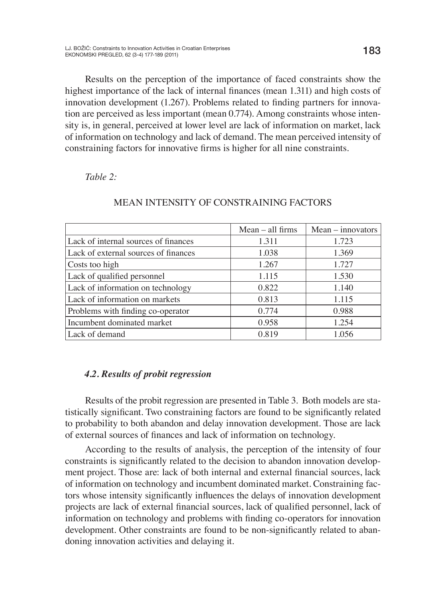Results on the perception of the importance of faced constraints show the highest importance of the lack of internal finances (mean 1.311) and high costs of innovation development (1.267). Problems related to finding partners for innovation are perceived as less important (mean 0.774). Among constraints whose intensity is, in general, perceived at lower level are lack of information on market, lack of information on technology and lack of demand. The mean perceived intensity of constraining factors for innovative firms is higher for all nine constraints.

#### *Table 2:*

|                                      | $Mean - all firms$ | $Mean - innovators$ |
|--------------------------------------|--------------------|---------------------|
| Lack of internal sources of finances | 1.311              | 1.723               |
| Lack of external sources of finances | 1.038              | 1.369               |
| Costs too high                       | 1.267              | 1.727               |
| Lack of qualified personnel          | 1.115              | 1.530               |
| Lack of information on technology    | 0.822              | 1.140               |
| Lack of information on markets       | 0.813              | 1.115               |
| Problems with finding co-operator    | 0.774              | 0.988               |
| Incumbent dominated market           | 0.958              | 1.254               |
| Lack of demand                       | 0.819              | 1.056               |

#### MEAN INTENSITY OF CONSTRAINING FACTORS

## *4.2. Results of probit regression*

Results of the probit regression are presented in Table 3. Both models are statistically significant. Two constraining factors are found to be significantly related to probability to both abandon and delay innovation development. Those are lack of external sources of finances and lack of information on technology.

According to the results of analysis, the perception of the intensity of four constraints is significantly related to the decision to abandon innovation development project. Those are: lack of both internal and external financial sources, lack of information on technology and incumbent dominated market. Constraining factors whose intensity significantly influences the delays of innovation development projects are lack of external financial sources, lack of qualified personnel, lack of information on technology and problems with finding co-operators for innovation development. Other constraints are found to be non-significantly related to abandoning innovation activities and delaying it.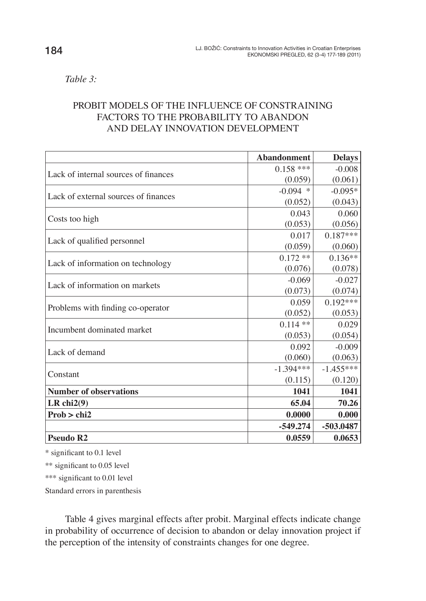*Table 3:* 

# PROBIT MODELS OF THE INFLUENCE OF CONSTRAINING FACTORS TO THE PROBABILITY TO ABANDON AND DELAY INNOVATION DEVELOPMENT

|                                      | <b>Abandonment</b> | <b>Delays</b> |
|--------------------------------------|--------------------|---------------|
| Lack of internal sources of finances | $0.158$ ***        | $-0.008$      |
|                                      | (0.059)            | (0.061)       |
| Lack of external sources of finances | $-0.094$ *         | $-0.095*$     |
|                                      | (0.052)            | (0.043)       |
|                                      | 0.043              | 0.060         |
| Costs too high                       | (0.053)            | (0.056)       |
|                                      | 0.017              | $0.187***$    |
| Lack of qualified personnel          | (0.059)            | (0.060)       |
|                                      | $0.172**$          | $0.136**$     |
| Lack of information on technology    | (0.076)            | (0.078)       |
| Lack of information on markets       | $-0.069$           | $-0.027$      |
|                                      | (0.073)            | (0.074)       |
|                                      | 0.059              | $0.192***$    |
| Problems with finding co-operator    | (0.052)            | (0.053)       |
| Incumbent dominated market           | $0.114$ **         | 0.029         |
|                                      | (0.053)            | (0.054)       |
| Lack of demand                       | 0.092              | $-0.009$      |
|                                      | (0.060)            | (0.063)       |
| Constant                             | $-1.394***$        | $-1.455***$   |
|                                      | (0.115)            | (0.120)       |
| <b>Number of observations</b>        | 1041               | 1041          |
| LR chi2(9)                           | 65.04              | 70.26         |
| Prob > chi2                          | 0.0000             | 0.000         |
|                                      | $-549.274$         | -503.0487     |
| <b>Pseudo R2</b>                     | 0.0559             | 0.0653        |

\* significant to 0.1 level

\*\* significant to 0.05 level

\*\*\* significant to 0.01 level

Standard errors in parenthesis

Table 4 gives marginal effects after probit. Marginal effects indicate change in probability of occurrence of decision to abandon or delay innovation project if the perception of the intensity of constraints changes for one degree.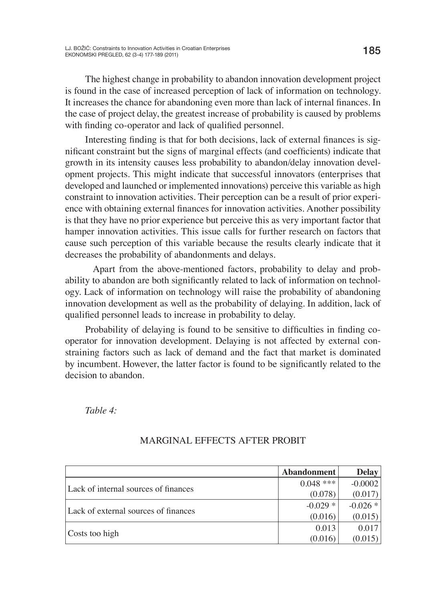The highest change in probability to abandon innovation development project is found in the case of increased perception of lack of information on technology. It increases the chance for abandoning even more than lack of internal finances. In the case of project delay, the greatest increase of probability is caused by problems with finding co-operator and lack of qualified personnel.

Interesting finding is that for both decisions, lack of external finances is significant constraint but the signs of marginal effects (and coefficients) indicate that growth in its intensity causes less probability to abandon/delay innovation development projects. This might indicate that successful innovators (enterprises that developed and launched or implemented innovations) perceive this variable as high constraint to innovation activities. Their perception can be a result of prior experience with obtaining external finances for innovation activities. Another possibility is that they have no prior experience but perceive this as very important factor that hamper innovation activities. This issue calls for further research on factors that cause such perception of this variable because the results clearly indicate that it decreases the probability of abandonments and delays.

 Apart from the above-mentioned factors, probability to delay and probability to abandon are both significantly related to lack of information on technology. Lack of information on technology will raise the probability of abandoning innovation development as well as the probability of delaying. In addition, lack of qualified personnel leads to increase in probability to delay.

Probability of delaying is found to be sensitive to difficulties in finding cooperator for innovation development. Delaying is not affected by external constraining factors such as lack of demand and the fact that market is dominated by incumbent. However, the latter factor is found to be significantly related to the decision to abandon.

*Table 4:* 

|                                      | Abandonment | <b>Delay</b> |
|--------------------------------------|-------------|--------------|
| Lack of internal sources of finances | $0.048$ *** | $-0.0002$    |
|                                      | (0.078)     | (0.017)      |
|                                      | $-0.029*$   | $-0.026 *$   |
| Lack of external sources of finances | (0.016)     | (0.015)      |
|                                      | 0.013       | 0.017        |
| Costs too high                       | (0.016)     | (0.015)      |

## MARGINAL EFFECTS AFTER PROBIT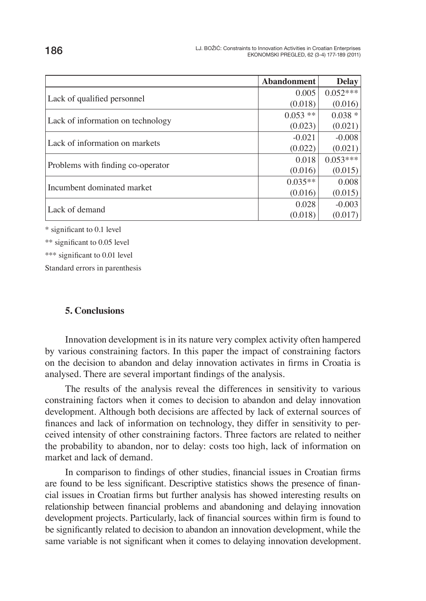|                                   | <b>Abandonment</b> | <b>Delay</b> |
|-----------------------------------|--------------------|--------------|
| Lack of qualified personnel       | 0.005              | $0.052***$   |
|                                   | (0.018)            | (0.016)      |
|                                   | $0.053$ **         | $0.038 *$    |
| Lack of information on technology | (0.023)            | (0.021)      |
| Lack of information on markets    | $-0.021$           | $-0.008$     |
|                                   | (0.022)            | (0.021)      |
|                                   | 0.018              | $0.053***$   |
| Problems with finding co-operator | (0.016)            | (0.015)      |
| Incumbent dominated market        | $0.035**$          | 0.008        |
|                                   | (0.016)            | (0.015)      |
|                                   | 0.028              | $-0.003$     |
| Lack of demand                    | (0.018)            | (0.017)      |

\* significant to 0.1 level

\*\* significant to 0.05 level

\*\*\* significant to 0.01 level

Standard errors in parenthesis

#### **5. Conclusions**

Innovation development is in its nature very complex activity often hampered by various constraining factors. In this paper the impact of constraining factors on the decision to abandon and delay innovation activates in firms in Croatia is analysed. There are several important findings of the analysis.

The results of the analysis reveal the differences in sensitivity to various constraining factors when it comes to decision to abandon and delay innovation development. Although both decisions are affected by lack of external sources of finances and lack of information on technology, they differ in sensitivity to perceived intensity of other constraining factors. Three factors are related to neither the probability to abandon, nor to delay: costs too high, lack of information on market and lack of demand.

In comparison to findings of other studies, financial issues in Croatian firms are found to be less significant. Descriptive statistics shows the presence of financial issues in Croatian firms but further analysis has showed interesting results on relationship between financial problems and abandoning and delaying innovation development projects. Particularly, lack of financial sources within firm is found to be significantly related to decision to abandon an innovation development, while the same variable is not significant when it comes to delaying innovation development.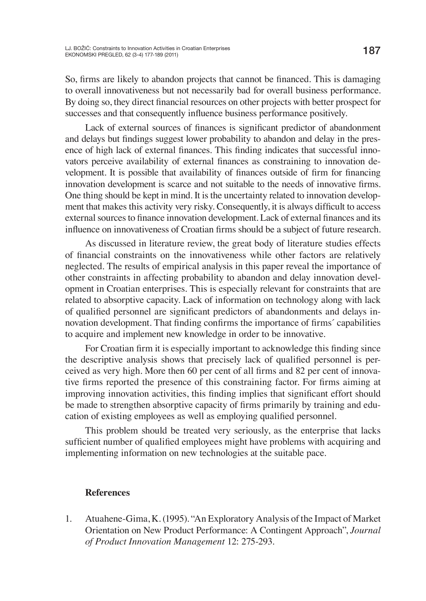So, firms are likely to abandon projects that cannot be financed. This is damaging to overall innovativeness but not necessarily bad for overall business performance. By doing so, they direct financial resources on other projects with better prospect for successes and that consequently influence business performance positively.

Lack of external sources of finances is significant predictor of abandonment and delays but findings suggest lower probability to abandon and delay in the presence of high lack of external finances. This finding indicates that successful innovators perceive availability of external finances as constraining to innovation development. It is possible that availability of finances outside of firm for financing innovation development is scarce and not suitable to the needs of innovative firms. One thing should be kept in mind. It is the uncertainty related to innovation development that makes this activity very risky. Consequently, it is always difficult to access external sources to finance innovation development. Lack of external finances and its influence on innovativeness of Croatian firms should be a subject of future research.

As discussed in literature review, the great body of literature studies effects of financial constraints on the innovativeness while other factors are relatively neglected. The results of empirical analysis in this paper reveal the importance of other constraints in affecting probability to abandon and delay innovation development in Croatian enterprises. This is especially relevant for constraints that are related to absorptive capacity. Lack of information on technology along with lack of qualified personnel are significant predictors of abandonments and delays innovation development. That finding confirms the importance of firms' capabilities to acquire and implement new knowledge in order to be innovative.

For Croatian firm it is especially important to acknowledge this finding since the descriptive analysis shows that precisely lack of qualified personnel is perceived as very high. More then 60 per cent of all firms and 82 per cent of innovative firms reported the presence of this constraining factor. For firms aiming at improving innovation activities, this finding implies that significant effort should be made to strengthen absorptive capacity of firms primarily by training and education of existing employees as well as employing qualified personnel.

This problem should be treated very seriously, as the enterprise that lacks sufficient number of qualified employees might have problems with acquiring and implementing information on new technologies at the suitable pace.

#### **References**

1. Atuahene-Gima, K. (1995). "An Exploratory Analysis of the Impact of Market Orientation on New Product Performance: A Contingent Approach", *Journal of Product Innovation Management* 12: 275-293.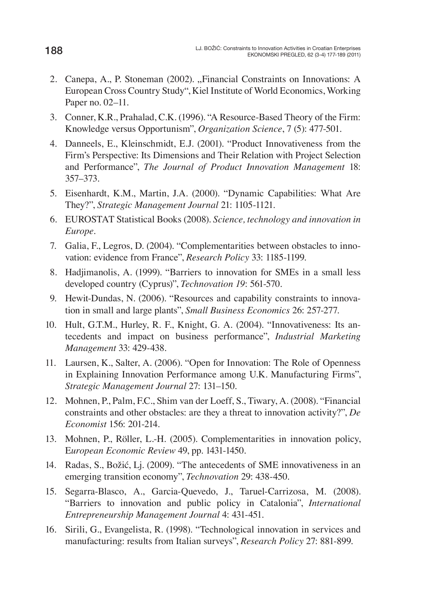- 2. Canepa, A., P. Stoneman (2002). "Financial Constraints on Innovations: A European Cross Country Study", Kiel Institute of World Economics, Working Paper no. 02–11.
- 3. Conner, K.R., Prahalad, C.K. (1996). "A Resource-Based Theory of the Firm: Knowledge versus Opportunism", *Organization Science*, 7 (5): 477-501.
- 4. Danneels, E., Kleinschmidt, E.J. (2001). "Product Innovativeness from the Firm's Perspective: Its Dimensions and Their Relation with Project Selection and Performance", *The Journal of Product Innovation Management* 18: 357–373.
- 5. Eisenhardt, K.M., Martin, J.A. (2000). "Dynamic Capabilities: What Are They?", *Strategic Management Journal* 21: 1105-1121.
- 6. EUROSTAT Statistical Books (2008). *Science, technology and innovation in Europe*.
- 7. Galia, F., Legros, D. (2004). "Complementarities between obstacles to innovation: evidence from France", *Research Policy* 33: 1185-1199.
- 8. Hadjimanolis, A. (1999). "Barriers to innovation for SMEs in a small less developed country (Cyprus)", *Technovation 19*: 561-570.
- 9. Hewit-Dundas, N. (2006). "Resources and capability constraints to innovation in small and large plants", *Small Business Economics* 26: 257-277.
- 10. Hult, G.T.M., Hurley, R. F., Knight, G. A. (2004). "Innovativeness: Its antecedents and impact on business performance", *Industrial Marketing Management* 33: 429-438.
- 11. Laursen, K., Salter, A. (2006). "Open for Innovation: The Role of Openness in Explaining Innovation Performance among U.K. Manufacturing Firms", *Strategic Management Journal* 27: 131–150.
- 12. Mohnen, P., Palm, F.C., Shim van der Loeff, S., Tiwary, A. (2008). "Financial constraints and other obstacles: are they a threat to innovation activity?", *De Economist* 156: 201-214.
- 13. Mohnen, P., Röller, L.-H. (2005). Complementarities in innovation policy, E*uropean Economic Review* 49, pp. 1431-1450.
- 14. Radas, S., Božić, Lj. (2009). "The antecedents of SME innovativeness in an emerging transition economy", *Technovation* 29: 438-450.
- 15. Segarra-Blasco, A., Garcia-Quevedo, J., Taruel-Carrizosa, M. (2008). "Barriers to innovation and public policy in Catalonia", *International Entrepreneurship Management Journal* 4: 431-451.
- 16. Sirili, G., Evangelista, R. (1998). "Technological innovation in services and manufacturing: results from Italian surveys", *Research Policy* 27: 881-899.